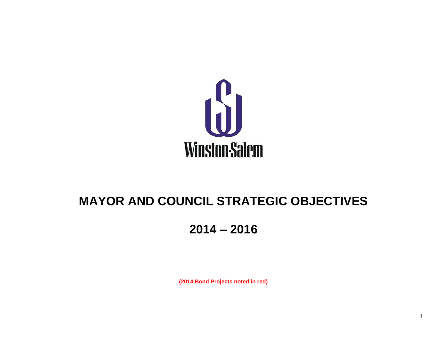

# **MAYOR AND COUNCIL STRATEGIC OBJECTIVES**

# **2014 – 2016**

**(2014 Bond Projects noted in red)**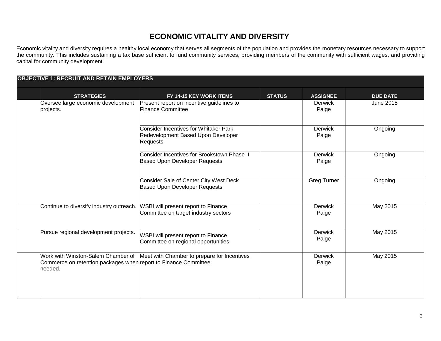Economic vitality and diversity requires a healthy local economy that serves all segments of the population and provides the monetary resources necessary to support the community. This includes sustaining a tax base sufficient to fund community services, providing members of the community with sufficient wages, and providing capital for community development.

| <b>OBJECTIVE 1: RECRUIT AND RETAIN EMPLOYERS</b>                                                                 |                                                                                                |               |                         |                 |
|------------------------------------------------------------------------------------------------------------------|------------------------------------------------------------------------------------------------|---------------|-------------------------|-----------------|
| <b>STRATEGIES</b>                                                                                                | <b>FY 14-15 KEY WORK ITEMS</b>                                                                 | <b>STATUS</b> | <b>ASSIGNEE</b>         | <b>DUE DATE</b> |
| Oversee large economic development<br>projects.                                                                  | Present report on incentive guidelines to<br><b>Finance Committee</b>                          |               | <b>Derwick</b><br>Paige | June 2015       |
|                                                                                                                  | <b>Consider Incentives for Whitaker Park</b><br>Redevelopment Based Upon Developer<br>Requests |               | <b>Derwick</b><br>Paige | Ongoing         |
|                                                                                                                  | Consider Incentives for Brookstown Phase II<br><b>Based Upon Developer Requests</b>            |               | <b>Derwick</b><br>Paige | Ongoing         |
|                                                                                                                  | Consider Sale of Center City West Deck<br><b>Based Upon Developer Requests</b>                 |               | Greg Turner             | Ongoing         |
| Continue to diversify industry outreach.                                                                         | WSBI will present report to Finance<br>Committee on target industry sectors                    |               | Derwick<br>Paige        | May 2015        |
| Pursue regional development projects.                                                                            | WSBI will present report to Finance<br>Committee on regional opportunities                     |               | Derwick<br>Paige        | May 2015        |
| Work with Winston-Salem Chamber of<br>Commerce on retention packages when report to Finance Committee<br>needed. | Meet with Chamber to prepare for Incentives                                                    |               | <b>Derwick</b><br>Paige | May 2015        |
|                                                                                                                  |                                                                                                |               |                         |                 |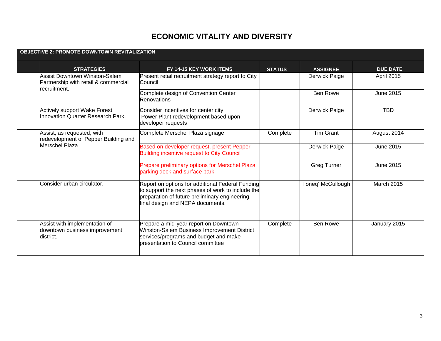| <b>STRATEGIES</b>                                                               | FY 14-15 KEY WORK ITEMS                                                                                                                                                                     | <b>STATUS</b> | <b>ASSIGNEE</b>    | <b>DUE DATE</b>   |
|---------------------------------------------------------------------------------|---------------------------------------------------------------------------------------------------------------------------------------------------------------------------------------------|---------------|--------------------|-------------------|
| <b>Assist Downtown Winston-Salem</b><br>Partnership with retail & commercial    | Present retail recruitment strategy report to City<br>lCouncil                                                                                                                              |               | Derwick Paige      | April 2015        |
| recruitment.                                                                    | Complete design of Convention Center<br>Renovations                                                                                                                                         |               | <b>Ben Rowe</b>    | <b>June 2015</b>  |
| <b>Actively support Wake Forest</b><br><b>Innovation Quarter Research Park.</b> | Consider incentives for center city<br>Power Plant redevelopment based upon<br>developer requests                                                                                           |               | Derwick Paige      | <b>TBD</b>        |
| Assist, as requested, with<br>redevelopment of Pepper Building and              | Complete Merschel Plaza signage                                                                                                                                                             | Complete      | <b>Tim Grant</b>   | August 2014       |
| Merschel Plaza.                                                                 | Based on developer request, present Pepper<br><b>Building incentive request to City Council</b>                                                                                             |               | Derwick Paige      | June 2015         |
|                                                                                 | Prepare preliminary options for Merschel Plaza<br>parking deck and surface park                                                                                                             |               | <b>Greg Turner</b> | June 2015         |
| Consider urban circulator.                                                      | Report on options for additional Federal Funding<br>to support the next phases of work to include the<br>preparation of future preliminary engineering,<br>final design and NEPA documents. |               | Toneq' McCullough  | <b>March 2015</b> |
| Assist with implementation of<br>downtown business improvement<br>district.     | Prepare a mid-year report on Downtown<br>Winston-Salem Business Improvement District<br>services/programs and budget and make<br>bresentation to Council committee                          | Complete      | <b>Ben Rowe</b>    | January 2015      |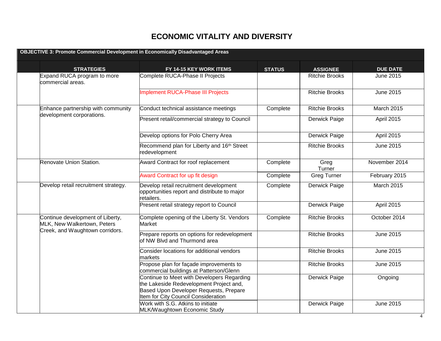| <b>OBJECTIVE 3: Promote Commercial Development in Economically Disadvantaged Areas</b> |                                                                                                                                                                        |               |                       |                   |
|----------------------------------------------------------------------------------------|------------------------------------------------------------------------------------------------------------------------------------------------------------------------|---------------|-----------------------|-------------------|
| <b>STRATEGIES</b>                                                                      | FY 14-15 KEY WORK ITEMS                                                                                                                                                | <b>STATUS</b> | <b>ASSIGNEE</b>       | <b>DUE DATE</b>   |
| Expand RUCA program to more<br>commercial areas.                                       | Complete RUCA-Phase II Projects                                                                                                                                        |               | <b>Ritchie Brooks</b> | June 2015         |
|                                                                                        | <b>Implement RUCA-Phase III Projects</b>                                                                                                                               |               | <b>Ritchie Brooks</b> | June 2015         |
| Enhance partnership with community                                                     | Conduct technical assistance meetings                                                                                                                                  | Complete      | <b>Ritchie Brooks</b> | <b>March 2015</b> |
| development corporations.                                                              | Present retail/commercial strategy to Council                                                                                                                          |               | Derwick Paige         | April 2015        |
|                                                                                        | Develop options for Polo Cherry Area                                                                                                                                   |               | Derwick Paige         | April 2015        |
|                                                                                        | Recommend plan for Liberty and 16 <sup>th</sup> Street<br>redevelopment                                                                                                |               | <b>Ritchie Brooks</b> | June 2015         |
| Renovate Union Station.                                                                | Award Contract for roof replacement                                                                                                                                    | Complete      | Greg<br>Turner        | November 2014     |
|                                                                                        | Award Contract for up fit design                                                                                                                                       | Complete      | <b>Greg Turner</b>    | February 2015     |
| Develop retail recruitment strategy.                                                   | Develop retail recruitment development<br>opportunities report and distribute to major<br>retailers.                                                                   | Complete      | <b>Derwick Paige</b>  | March 2015        |
|                                                                                        | Present retail strategy report to Council                                                                                                                              |               | Derwick Paige         | April 2015        |
| Continue development of Liberty,<br>MLK, New Walkertown, Peters                        | Complete opening of the Liberty St. Vendors<br>Market                                                                                                                  | Complete      | <b>Ritchie Brooks</b> | October 2014      |
| Creek, and Waughtown corridors.                                                        | Prepare reports on options for redevelopment<br>of NW Blvd and Thurmond area                                                                                           |               | <b>Ritchie Brooks</b> | June 2015         |
|                                                                                        | Consider locations for additional vendors<br>markets                                                                                                                   |               | <b>Ritchie Brooks</b> | June 2015         |
|                                                                                        | Propose plan for façade improvements to<br>commercial buildings at Patterson/Glenn                                                                                     |               | <b>Ritchie Brooks</b> | <b>June 2015</b>  |
|                                                                                        | Continue to Meet with Developers Regarding<br>the Lakeside Redevelopment Project and,<br>Based Upon Developer Requests, Prepare<br>Item for City Council Consideration |               | Derwick Paige         | Ongoing           |
|                                                                                        | Work with S.G. Atkins to initiate<br>MLK/Waughtown Economic Study                                                                                                      |               | Derwick Paige         | June 2015         |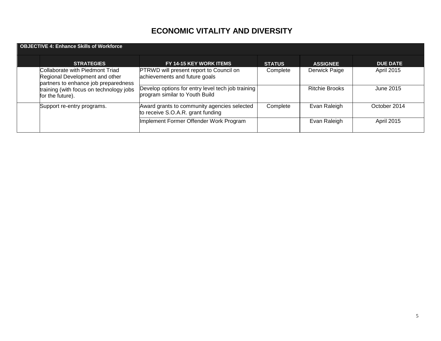| <b>OBJECTIVE 4: Enhance Skills of Workforce</b> |                                                                                                                                                                          |                                                                                     |               |                       |                   |  |  |  |
|-------------------------------------------------|--------------------------------------------------------------------------------------------------------------------------------------------------------------------------|-------------------------------------------------------------------------------------|---------------|-----------------------|-------------------|--|--|--|
|                                                 | <b>STRATEGIES</b>                                                                                                                                                        | FY 14-15 KEY WORK ITEMS                                                             | <b>STATUS</b> | <b>ASSIGNEE</b>       | <b>DUE DATE</b>   |  |  |  |
|                                                 | Collaborate with Piedmont Triad<br>Regional Development and other<br>partners to enhance job preparedness<br>training (with focus on technology jobs<br>for the future). | <b>PTRWD</b> will present report to Council on<br>achievements and future goals     | Complete      | Derwick Paige         | April 2015        |  |  |  |
|                                                 |                                                                                                                                                                          | Develop options for entry level tech job training<br>program similar to Youth Build |               | <b>Ritchie Brooks</b> | June 2015         |  |  |  |
|                                                 | Support re-entry programs.                                                                                                                                               | Award grants to community agencies selected<br>to receive S.O.A.R. grant funding    | Complete      | Evan Raleigh          | October 2014      |  |  |  |
|                                                 |                                                                                                                                                                          | Implement Former Offender Work Program                                              |               | Evan Raleigh          | <b>April 2015</b> |  |  |  |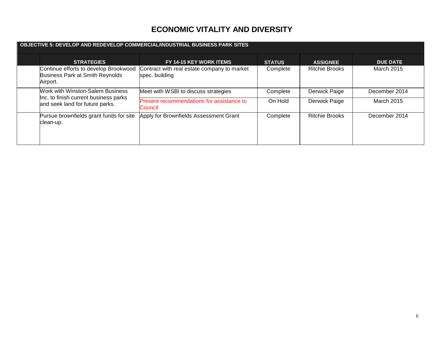| OBJECTIVE 5: DEVELOP AND REDEVELOP COMMERCIAL/INDUSTRIAL BUSINESS PARK SITES         |                                                               |               |                       |                 |  |  |  |
|--------------------------------------------------------------------------------------|---------------------------------------------------------------|---------------|-----------------------|-----------------|--|--|--|
| <b>STRATEGIES</b>                                                                    | <b>FY 14-15 KEY WORK ITEMS</b>                                | <b>STATUS</b> | <b>ASSIGNEE</b>       | <b>DUE DATE</b> |  |  |  |
| Continue efforts to develop Brookwood<br>Business Park at Smith Reynolds<br>Airport. | Contract with real estate company to market<br>spec. building | Complete      | <b>Ritchie Brooks</b> | March 2015      |  |  |  |
| Work with Winston-Salem Business                                                     | Meet with WSBI to discuss strategies                          | Complete      | Derwick Paige         | December 2014   |  |  |  |
| Inc. to finish current business parks<br>and seek land for future parks.             | Present recommendations for assistance to<br>Council          | On Hold       | Derwick Paige         | March 2015      |  |  |  |
| Pursue brownfields grant funds for site<br>clean-up.                                 | Apply for Brownfields Assessment Grant                        | Complete      | <b>Ritchie Brooks</b> | December 2014   |  |  |  |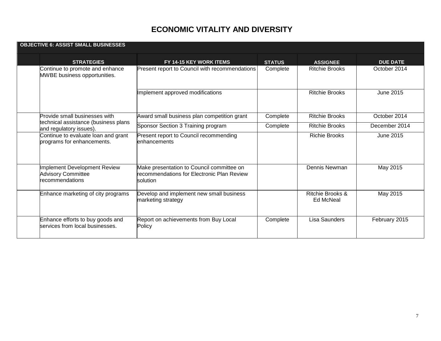| <b>OBJECTIVE 6: ASSIST SMALL BUSINESSES</b>                                  |                               |                                                                                                     |               |                               |                  |
|------------------------------------------------------------------------------|-------------------------------|-----------------------------------------------------------------------------------------------------|---------------|-------------------------------|------------------|
|                                                                              | <b>STRATEGIES</b>             | FY 14-15 KEY WORK ITEMS                                                                             | <b>STATUS</b> | <b>ASSIGNEE</b>               | <b>DUE DATE</b>  |
| Continue to promote and enhance<br>MWBE business opportunities.              |                               | <b>Present report to Council with recommendations</b>                                               | Complete      | <b>Ritchie Brooks</b>         | October 2014     |
|                                                                              |                               | Implement approved modifications                                                                    |               | <b>Ritchie Brooks</b>         | <b>June 2015</b> |
|                                                                              | Provide small businesses with | Award small business plan competition grant                                                         | Complete      | <b>Ritchie Brooks</b>         | October 2014     |
| technical assistance (business plans<br>and regulatory issues).              |                               | Sponsor Section 3 Training program                                                                  | Complete      | <b>Ritchie Brooks</b>         | December 2014    |
| Continue to evaluate loan and grant<br>programs for enhancements.            |                               | Present report to Council recommending<br>lenhancements                                             |               | <b>Richie Brooks</b>          | June 2015        |
| Implement Development Review<br><b>Advisory Committee</b><br>recommendations |                               | Make presentation to Council committee on<br>recommendations for Electronic Plan Review<br>solution |               | Dennis Newman                 | May 2015         |
| Enhance marketing of city programs                                           |                               | Develop and implement new small business<br>marketing strategy                                      |               | Ritchie Brooks &<br>Ed McNeal | May 2015         |
| Enhance efforts to buy goods and<br>services from local businesses.          |                               | Report on achievements from Buy Local<br>Policy                                                     | Complete      | Lisa Saunders                 | February 2015    |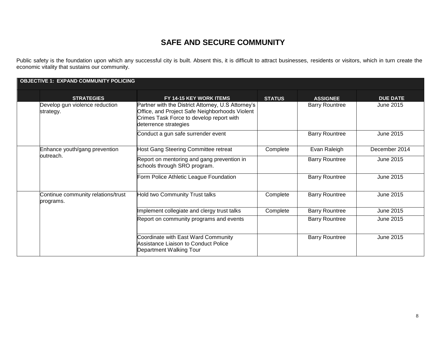Public safety is the foundation upon which any successful city is built. Absent this, it is difficult to attract businesses, residents or visitors, which in turn create the economic vitality that sustains our community.

| <b>OBJECTIVE 1: EXPAND COMMUNITY POLICING</b> |                                                 |                                                                                                                                                                           |               |                       |                 |  |  |
|-----------------------------------------------|-------------------------------------------------|---------------------------------------------------------------------------------------------------------------------------------------------------------------------------|---------------|-----------------------|-----------------|--|--|
|                                               | <b>STRATEGIES</b>                               | FY 14-15 KEY WORK ITEMS                                                                                                                                                   | <b>STATUS</b> | <b>ASSIGNEE</b>       | <b>DUE DATE</b> |  |  |
|                                               | Develop gun violence reduction<br>strategy.     | Partner with the District Attorney, U.S Attorney's<br>Office, and Project Safe Neighborhoods Violent<br>Crimes Task Force to develop report with<br>deterrence strategies |               | <b>Barry Rountree</b> | June 2015       |  |  |
|                                               |                                                 | Conduct a gun safe surrender event                                                                                                                                        |               | <b>Barry Rountree</b> | June 2015       |  |  |
|                                               | Enhance youth/gang prevention                   | Host Gang Steering Committee retreat                                                                                                                                      | Complete      | Evan Raleigh          | December 2014   |  |  |
| outreach.                                     |                                                 | Report on mentoring and gang prevention in<br>schools through SRO program.                                                                                                |               | <b>Barry Rountree</b> | June 2015       |  |  |
|                                               |                                                 | Form Police Athletic League Foundation                                                                                                                                    |               | <b>Barry Rountree</b> | June 2015       |  |  |
|                                               | Continue community relations/trust<br>programs. | Hold two Community Trust talks                                                                                                                                            | Complete      | <b>Barry Rountree</b> | June 2015       |  |  |
|                                               |                                                 | Implement collegiate and clergy trust talks                                                                                                                               | Complete      | <b>Barry Rountree</b> | June 2015       |  |  |
|                                               |                                                 | Report on community programs and events                                                                                                                                   |               | <b>Barry Rountree</b> | June 2015       |  |  |
|                                               |                                                 | Coordinate with East Ward Community<br>Assistance Liaison to Conduct Police<br>Department Walking Tour                                                                    |               | <b>Barry Rountree</b> | June 2015       |  |  |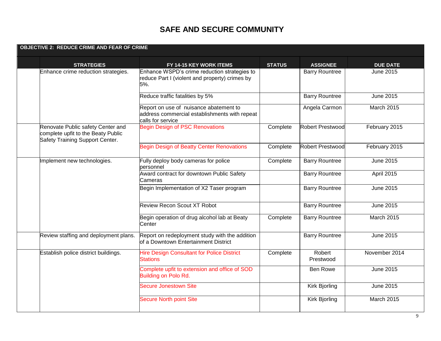| <b>OBJECTIVE 2: REDUCE CRIME AND FEAR OF CRIME</b>                                                         |                                                                                                              |               |                         |                   |
|------------------------------------------------------------------------------------------------------------|--------------------------------------------------------------------------------------------------------------|---------------|-------------------------|-------------------|
| <b>STRATEGIES</b>                                                                                          | FY 14-15 KEY WORK ITEMS                                                                                      | <b>STATUS</b> | <b>ASSIGNEE</b>         | <b>DUE DATE</b>   |
| Enhance crime reduction strategies.                                                                        | Enhance WSPD's crime reduction strategies to<br>reduce Part I (violent and property) crimes by<br>5%.        |               | <b>Barry Rountree</b>   | June 2015         |
|                                                                                                            | Reduce traffic fatalities by 5%                                                                              |               | <b>Barry Rountree</b>   | <b>June 2015</b>  |
|                                                                                                            | Report on use of nuisance abatement to<br>address commercial establishments with repeat<br>calls for service |               | Angela Carmon           | March 2015        |
| Renovate Public safety Center and<br>complete upfit to the Beaty Public<br>Safety Training Support Center. | <b>Begin Design of PSC Renovations</b>                                                                       | Complete      | <b>Robert Prestwood</b> | February 2015     |
|                                                                                                            | <b>Begin Design of Beatty Center Renovations</b>                                                             | Complete      | <b>Robert Prestwood</b> | February 2015     |
| Implement new technologies.                                                                                | Fully deploy body cameras for police<br>personnel                                                            | Complete      | <b>Barry Rountree</b>   | <b>June 2015</b>  |
|                                                                                                            | Award contract for downtown Public Safety<br>Cameras                                                         |               | <b>Barry Rountree</b>   | April 2015        |
|                                                                                                            | Begin Implementation of X2 Taser program                                                                     |               | <b>Barry Rountree</b>   | <b>June 2015</b>  |
|                                                                                                            | <b>Review Recon Scout XT Robot</b>                                                                           |               | <b>Barry Rountree</b>   | <b>June 2015</b>  |
|                                                                                                            | Begin operation of drug alcohol lab at Beaty<br>Center                                                       | Complete      | <b>Barry Rountree</b>   | <b>March 2015</b> |
| Review staffing and deployment plans.                                                                      | Report on redeployment study with the addition<br>of a Downtown Entertainment District                       |               | <b>Barry Rountree</b>   | <b>June 2015</b>  |
| Establish police district buildings.                                                                       | <b>Hire Design Consultant for Police District</b><br><b>Stations</b>                                         | Complete      | Robert<br>Prestwood     | November 2014     |
|                                                                                                            | Complete upfit to extension and office of SOD<br>Building on Polo Rd.                                        |               | <b>Ben Rowe</b>         | June 2015         |
|                                                                                                            | Secure Jonestown Site                                                                                        |               | Kirk Bjorling           | June 2015         |
|                                                                                                            | <b>Secure North point Site</b>                                                                               |               | <b>Kirk Bjorling</b>    | March 2015        |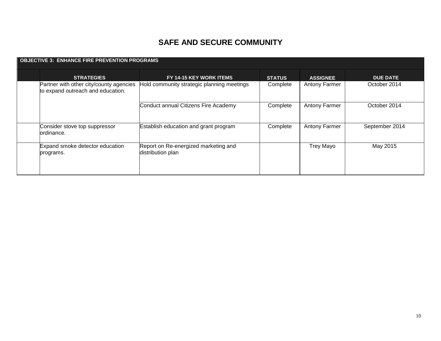| <b>OBJECTIVE 3: ENHANCE FIRE PREVENTION PROGRAMS</b> |                                                                              |                                                           |               |                      |                 |  |  |
|------------------------------------------------------|------------------------------------------------------------------------------|-----------------------------------------------------------|---------------|----------------------|-----------------|--|--|
|                                                      | <b>STRATEGIES</b>                                                            | FY 14-15 KEY WORK ITEMS                                   | <b>STATUS</b> | <b>ASSIGNEE</b>      | <b>DUE DATE</b> |  |  |
|                                                      | Partner with other city/county agencies<br>to expand outreach and education. | Hold community strategic planning meetings                | Complete      | <b>Antony Farmer</b> | October 2014    |  |  |
|                                                      |                                                                              | Conduct annual Citizens Fire Academy                      | Complete      | <b>Antony Farmer</b> | October 2014    |  |  |
|                                                      | Consider stove top suppressor<br>lordinance.                                 | Establish education and grant program                     | Complete      | <b>Antony Farmer</b> | September 2014  |  |  |
|                                                      | Expand smoke detector education<br>programs.                                 | Report on Re-energized marketing and<br>distribution plan |               | <b>Trey Mayo</b>     | May 2015        |  |  |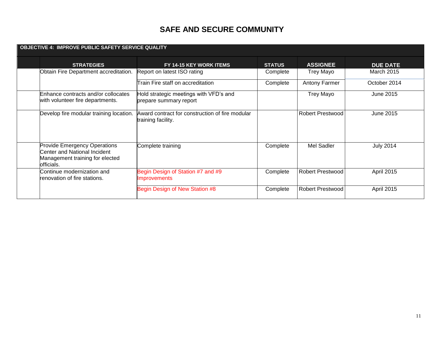| <b>OBJECTIVE 4: IMPROVE PUBLIC SAFETY SERVICE QUALITY</b>                                                             |                                                                       |               |                         |                   |  |  |  |
|-----------------------------------------------------------------------------------------------------------------------|-----------------------------------------------------------------------|---------------|-------------------------|-------------------|--|--|--|
| <b>STRATEGIES</b>                                                                                                     | FY 14-15 KEY WORK ITEMS                                               | <b>STATUS</b> | <b>ASSIGNEE</b>         | <b>DUE DATE</b>   |  |  |  |
| Obtain Fire Department accreditation.                                                                                 | Report on latest ISO rating                                           | Complete      | <b>Trey Mayo</b>        | <b>March 2015</b> |  |  |  |
|                                                                                                                       | Train Fire staff on accreditation                                     | Complete      | <b>Antony Farmer</b>    | October 2014      |  |  |  |
| Enhance contracts and/or collocates<br>with volunteer fire departments.                                               | Hold strategic meetings with VFD's and<br>prepare summary report      |               | Trey Mayo               | June 2015         |  |  |  |
| Develop fire modular training location.                                                                               | Award contract for construction of fire modular<br>training facility. |               | <b>Robert Prestwood</b> | June 2015         |  |  |  |
| <b>Provide Emergency Operations</b><br>Center and National Incident<br>Management training for elected<br>lofficials. | Complete training                                                     | Complete      | Mel Sadler              | <b>July 2014</b>  |  |  |  |
| Continue modernization and<br>Irenovation of fire stations.                                                           | Begin Design of Station #7 and #9<br><b>Improvements</b>              | Complete      | <b>Robert Prestwood</b> | April 2015        |  |  |  |
|                                                                                                                       | Begin Design of New Station #8                                        | Complete      | <b>Robert Prestwood</b> | April 2015        |  |  |  |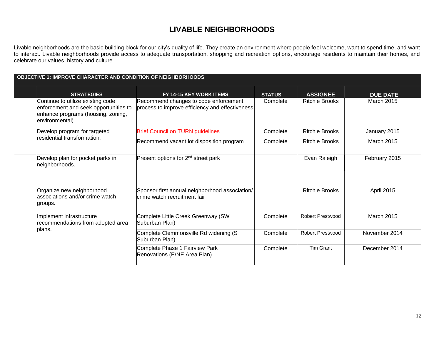Livable neighborhoods are the basic building block for our city's quality of life. They create an environment where people feel welcome, want to spend time, and want to interact. Livable neighborhoods provide access to adequate transportation, shopping and recreation options, encourage residents to maintain their homes, and celebrate our values, history and culture.

| <b>OBJECTIVE 1: IMPROVE CHARACTER AND CONDITION OF NEIGHBORHOODS</b>                                                                |  |                                                                                          |               |                         |                   |  |
|-------------------------------------------------------------------------------------------------------------------------------------|--|------------------------------------------------------------------------------------------|---------------|-------------------------|-------------------|--|
| <b>STRATEGIES</b>                                                                                                                   |  | FY 14-15 KEY WORK ITEMS                                                                  | <b>STATUS</b> | <b>ASSIGNEE</b>         | <b>DUE DATE</b>   |  |
| Continue to utilize existing code<br>enforcement and seek opportunities to<br>enhance programs (housing, zoning,<br>environmental). |  | Recommend changes to code enforcement<br>process to improve efficiency and effectiveness | Complete      | <b>Ritchie Brooks</b>   | <b>March 2015</b> |  |
| Develop program for targeted                                                                                                        |  | <b>Brief Council on TURN guidelines</b>                                                  | Complete      | <b>Ritchie Brooks</b>   | January 2015      |  |
| residential transformation.                                                                                                         |  | Recommend vacant lot disposition program                                                 | Complete      | <b>Ritchie Brooks</b>   | <b>March 2015</b> |  |
| Develop plan for pocket parks in<br>neighborhoods.                                                                                  |  | Present options for 2 <sup>nd</sup> street park                                          |               | Evan Raleigh            | February 2015     |  |
| Organize new neighborhood<br>associations and/or crime watch<br>groups.                                                             |  | Sponsor first annual neighborhood association/<br>lcrime watch recruitment fair          |               | <b>Ritchie Brooks</b>   | <b>April 2015</b> |  |
| Implement infrastructure<br>recommendations from adopted area<br>blans.                                                             |  | Complete Little Creek Greenway (SW<br>Suburban Plan)                                     | Complete      | <b>Robert Prestwood</b> | <b>March 2015</b> |  |
|                                                                                                                                     |  | Complete Clemmonsville Rd widening (S<br>Suburban Plan)                                  | Complete      | Robert Prestwood        | November 2014     |  |
|                                                                                                                                     |  | Complete Phase 1 Fairview Park<br>Renovations (E/NE Area Plan)                           | Complete      | <b>Tim Grant</b>        | December 2014     |  |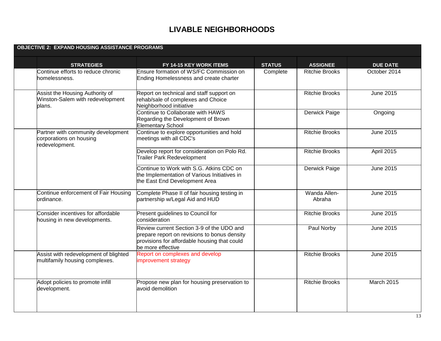|  | <b>OBJECTIVE 2: EXPAND HOUSING ASSISTANCE PROGRAMS</b>                          |                                                                                                                                                                |               |                        |                  |
|--|---------------------------------------------------------------------------------|----------------------------------------------------------------------------------------------------------------------------------------------------------------|---------------|------------------------|------------------|
|  | <b>STRATEGIES</b>                                                               | FY 14-15 KEY WORK ITEMS                                                                                                                                        | <b>STATUS</b> | <b>ASSIGNEE</b>        | <b>DUE DATE</b>  |
|  | Continue efforts to reduce chronic<br>homelessness.                             | Ensure formation of WS/FC Commission on<br>Ending Homelessness and create charter                                                                              | Complete      | <b>Ritchie Brooks</b>  | October 2014     |
|  | Assist the Housing Authority of<br>Winston-Salem with redevelopment<br>plans.   | Report on technical and staff support on<br>rehab/sale of complexes and Choice<br>Neighborhood initiative                                                      |               | <b>Ritchie Brooks</b>  | June 2015        |
|  |                                                                                 | Continue to Collaborate with HAWS<br>Regarding the Development of Brown<br><b>Elementary School</b>                                                            |               | Derwick Paige          | Ongoing          |
|  | Partner with community development<br>corporations on housing<br>redevelopment. | Continue to explore opportunities and hold<br>meetings with all CDC's                                                                                          |               | <b>Ritchie Brooks</b>  | <b>June 2015</b> |
|  |                                                                                 | Develop report for consideration on Polo Rd.<br><b>Trailer Park Redevelopment</b>                                                                              |               | <b>Ritchie Brooks</b>  | April 2015       |
|  |                                                                                 | Continue to Work with S.G. Atkins CDC on<br>the Implementation of Various Initiatives in<br>the East End Development Area                                      |               | Derwick Paige          | June 2015        |
|  | Continue enforcement of Fair Housing<br>ordinance.                              | Complete Phase II of fair housing testing in<br>partnership w/Legal Aid and HUD                                                                                |               | Wanda Allen-<br>Abraha | <b>June 2015</b> |
|  | Consider incentives for affordable<br>housing in new developments.              | Present guidelines to Council for<br>consideration                                                                                                             |               | <b>Ritchie Brooks</b>  | <b>June 2015</b> |
|  |                                                                                 | Review current Section 3-9 of the UDO and<br>prepare report on revisions to bonus density<br>provisions for affordable housing that could<br>be more effective |               | Paul Norby             | June 2015        |
|  | Assist with redevelopment of blighted<br>multifamily housing complexes.         | Report on complexes and develop<br>improvement strategy                                                                                                        |               | <b>Ritchie Brooks</b>  | June 2015        |
|  | Adopt policies to promote infill<br>development.                                | Propose new plan for housing preservation to<br>avoid demolition                                                                                               |               | <b>Ritchie Brooks</b>  | March 2015       |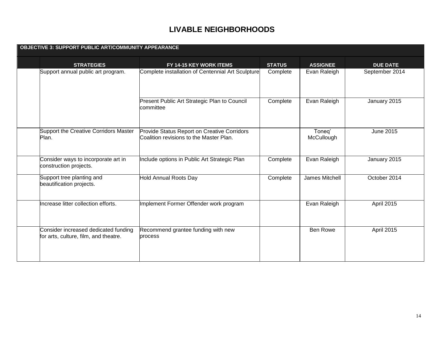| <b>OBJECTIVE 3: SUPPORT PUBLIC ART/COMMUNITY APPEARANCE</b>                   |                                                                                        |               |                      |                   |  |
|-------------------------------------------------------------------------------|----------------------------------------------------------------------------------------|---------------|----------------------|-------------------|--|
| <b>STRATEGIES</b>                                                             | FY 14-15 KEY WORK ITEMS                                                                | <b>STATUS</b> | <b>ASSIGNEE</b>      | <b>DUE DATE</b>   |  |
| Support annual public art program.                                            | Complete installation of Centennial Art Sculpture                                      | Complete      | Evan Raleigh         | September 2014    |  |
|                                                                               | Present Public Art Strategic Plan to Council<br>committee                              | Complete      | Evan Raleigh         | January 2015      |  |
| Support the Creative Corridors Master<br>Plan.                                | Provide Status Report on Creative Corridors<br>Coalition revisions to the Master Plan. |               | Toneg'<br>McCullough | <b>June 2015</b>  |  |
| Consider ways to incorporate art in<br>construction projects.                 | Include options in Public Art Strategic Plan                                           | Complete      | Evan Raleigh         | January 2015      |  |
| Support tree planting and<br>beautification projects.                         | Hold Annual Roots Day                                                                  | Complete      | James Mitchell       | October 2014      |  |
| Increase litter collection efforts.                                           | Implement Former Offender work program                                                 |               | Evan Raleigh         | <b>April 2015</b> |  |
| Consider increased dedicated funding<br>for arts, culture, film, and theatre. | Recommend grantee funding with new<br>process                                          |               | <b>Ben Rowe</b>      | April 2015        |  |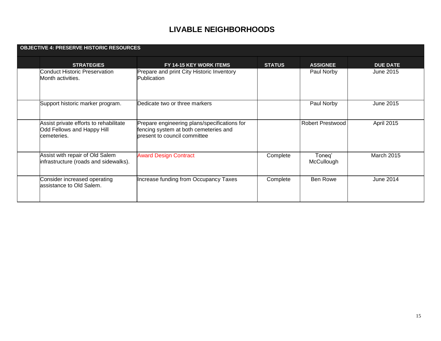| <b>OBJECTIVE 4: PRESERVE HISTORIC RESOURCES</b>                                     |                                                                                                                       |               |                         |                   |
|-------------------------------------------------------------------------------------|-----------------------------------------------------------------------------------------------------------------------|---------------|-------------------------|-------------------|
| <b>STRATEGIES</b>                                                                   | FY 14-15 KEY WORK ITEMS                                                                                               | <b>STATUS</b> | <b>ASSIGNEE</b>         | <b>DUE DATE</b>   |
| <b>Conduct Historic Preservation</b><br>Month activities.                           | Prepare and print City Historic Inventory<br><b>Publication</b>                                                       |               | Paul Norby              | June 2015         |
| Support historic marker program.                                                    | Dedicate two or three markers                                                                                         |               | Paul Norby              | June 2015         |
| Assist private efforts to rehabilitate<br>Odd Fellows and Happy Hill<br>cemeteries. | Prepare engineering plans/specifications for<br>fencing system at both cemeteries and<br>bresent to council committee |               | <b>Robert Prestwood</b> | April 2015        |
| Assist with repair of Old Salem<br>infrastructure (roads and sidewalks).            | <b>Award Design Contract</b>                                                                                          | Complete      | Toneq'<br>McCullough    | <b>March 2015</b> |
| Consider increased operating<br>assistance to Old Salem.                            | Increase funding from Occupancy Taxes                                                                                 | Complete      | Ben Rowe                | June 2014         |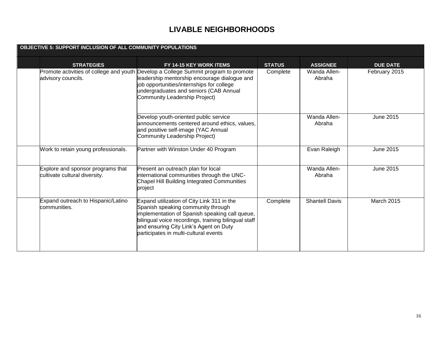| OBJECTIVE 5: SUPPORT INCLUSION OF ALL COMMUNITY POPULATIONS        |                                                                                                                                                                                                                                                                               |               |                        |                  |  |  |
|--------------------------------------------------------------------|-------------------------------------------------------------------------------------------------------------------------------------------------------------------------------------------------------------------------------------------------------------------------------|---------------|------------------------|------------------|--|--|
| <b>STRATEGIES</b>                                                  | FY 14-15 KEY WORK ITEMS                                                                                                                                                                                                                                                       | <b>STATUS</b> | <b>ASSIGNEE</b>        | <b>DUE DATE</b>  |  |  |
| advisory councils.                                                 | Promote activities of college and youth Develop a College Summit program to promote<br>leadership mentorship encourage dialogue and<br>job opportunities/internships for college<br>undergraduates and seniors (CAB Annual<br>Community Leadership Project)                   | Complete      | Wanda Allen-<br>Abraha | February 2015    |  |  |
|                                                                    | Develop youth-oriented public service<br>announcements centered around ethics, values,<br>and positive self-image (YAC Annual<br>Community Leadership Project)                                                                                                                |               | Wanda Allen-<br>Abraha | June 2015        |  |  |
| Work to retain young professionals.                                | Partner with Winston Under 40 Program                                                                                                                                                                                                                                         |               | Evan Raleigh           | <b>June 2015</b> |  |  |
| Explore and sponsor programs that<br>cultivate cultural diversity. | Present an outreach plan for local<br>international communities through the UNC-<br>Chapel Hill Building Integrated Communities<br>project                                                                                                                                    |               | Wanda Allen-<br>Abraha | <b>June 2015</b> |  |  |
| Expand outreach to Hispanic/Latino<br>communities.                 | Expand utilization of City Link 311 in the<br>Spanish speaking community through<br>implementation of Spanish speaking call queue,<br>bilingual voice recordings, training bilingual staff<br>and ensuring City Link's Agent on Duty<br>participates in multi-cultural events | Complete      | <b>Shantell Davis</b>  | March 2015       |  |  |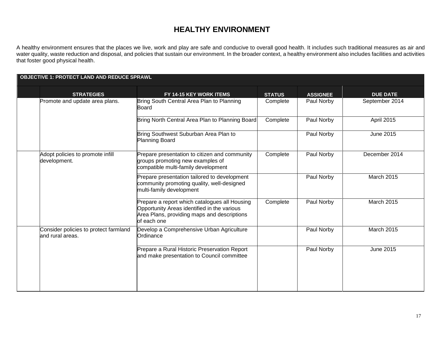A healthy environment ensures that the places we live, work and play are safe and conducive to overall good health. It includes such traditional measures as air and water quality, waste reduction and disposal, and policies that sustain our environment. In the broader context, a healthy environment also includes facilities and activities that foster good physical health.

| <b>OBJECTIVE 1: PROTECT LAND AND REDUCE SPRAWL</b>        |                                                                                                                                                            |               |                 |                   |
|-----------------------------------------------------------|------------------------------------------------------------------------------------------------------------------------------------------------------------|---------------|-----------------|-------------------|
| <b>STRATEGIES</b>                                         | FY 14-15 KEY WORK ITEMS                                                                                                                                    | <b>STATUS</b> | <b>ASSIGNEE</b> | <b>DUE DATE</b>   |
| Promote and update area plans.                            | Bring South Central Area Plan to Planning<br>Board                                                                                                         | Complete      | Paul Norby      | September 2014    |
|                                                           | Bring North Central Area Plan to Planning Board                                                                                                            | Complete      | Paul Norby      | <b>April 2015</b> |
|                                                           | Bring Southwest Suburban Area Plan to<br>Planning Board                                                                                                    |               | Paul Norby      | June 2015         |
| Adopt policies to promote infill<br>development.          | Prepare presentation to citizen and community<br>groups promoting new examples of<br>compatible multi-family development                                   | Complete      | Paul Norby      | December 2014     |
|                                                           | Prepare presentation tailored to development<br>community promoting quality, well-designed<br>multi-family development                                     |               | Paul Norby      | <b>March 2015</b> |
|                                                           | Prepare a report which catalogues all Housing<br>Opportunity Areas identified in the various<br>Area Plans, providing maps and descriptions<br>of each one | Complete      | Paul Norby      | <b>March 2015</b> |
| Consider policies to protect farmland<br>and rural areas. | Develop a Comprehensive Urban Agriculture<br>Ordinance                                                                                                     |               | Paul Norby      | <b>March 2015</b> |
|                                                           | Prepare a Rural Historic Preservation Report<br>and make presentation to Council committee                                                                 |               | Paul Norby      | <b>June 2015</b>  |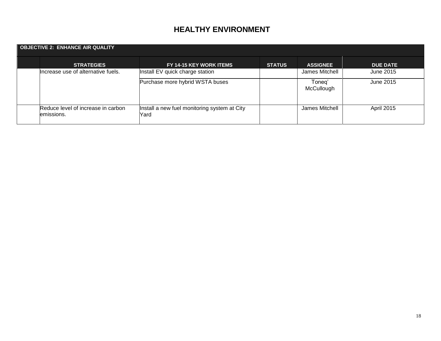| <b>OBJECTIVE 2: ENHANCE AIR QUALITY</b>          |                                                      |               |                      |                   |  |  |  |
|--------------------------------------------------|------------------------------------------------------|---------------|----------------------|-------------------|--|--|--|
| <b>STRATEGIES</b>                                | FY 14-15 KEY WORK ITEMS                              | <b>STATUS</b> | <b>ASSIGNEE</b>      | <b>DUE DATE</b>   |  |  |  |
| Increase use of alternative fuels.               | Install EV quick charge station                      |               | James Mitchell       | June 2015         |  |  |  |
|                                                  | Purchase more hybrid WSTA buses                      |               | Toneg'<br>McCullough | June 2015         |  |  |  |
| Reduce level of increase in carbon<br>emissions. | Install a new fuel monitoring system at City<br>Yard |               | James Mitchell       | <b>April 2015</b> |  |  |  |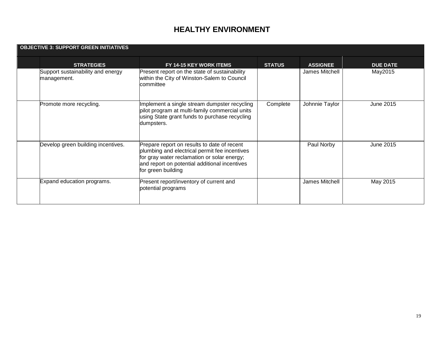| <b>OBJECTIVE 3: SUPPORT GREEN INITIATIVES</b> |                                                  |                                                                                                                                                                                                                    |               |                 |                 |  |
|-----------------------------------------------|--------------------------------------------------|--------------------------------------------------------------------------------------------------------------------------------------------------------------------------------------------------------------------|---------------|-----------------|-----------------|--|
|                                               | <b>STRATEGIES</b>                                | FY 14-15 KEY WORK ITEMS                                                                                                                                                                                            | <b>STATUS</b> | <b>ASSIGNEE</b> | <b>DUE DATE</b> |  |
|                                               | Support sustainability and energy<br>management. | Present report on the state of sustainability<br>within the City of Winston-Salem to Council<br>committee                                                                                                          |               | James Mitchell  | May2015         |  |
|                                               | Promote more recycling.                          | Implement a single stream dumpster recycling<br>pilot program at multi-family commercial units<br>using State grant funds to purchase recycling<br>dumpsters.                                                      | Complete      | Johnnie Taylor  | June 2015       |  |
|                                               | Develop green building incentives.               | Prepare report on results to date of recent<br>plumbing and electrical permit fee incentives<br>for gray water reclamation or solar energy;<br>and report on potential additional incentives<br>for green building |               | Paul Norby      | June 2015       |  |
|                                               | Expand education programs.                       | Present report/inventory of current and<br>potential programs                                                                                                                                                      |               | James Mitchell  | May 2015        |  |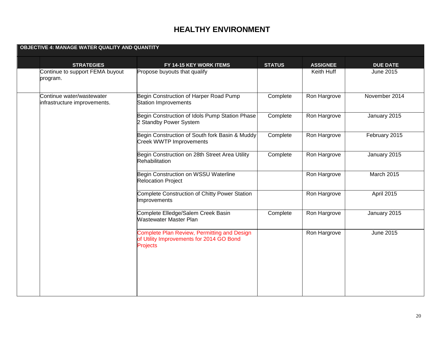| OBJECTIVE 4: MANAGE WATER QUALITY AND QUANTITY            |                                                                                                            |               |                 |                 |
|-----------------------------------------------------------|------------------------------------------------------------------------------------------------------------|---------------|-----------------|-----------------|
| <b>STRATEGIES</b>                                         | FY 14-15 KEY WORK ITEMS                                                                                    | <b>STATUS</b> | <b>ASSIGNEE</b> | <b>DUE DATE</b> |
| Continue to support FEMA buyout<br>program.               | Propose buyouts that qualify                                                                               |               | Keith Huff      | June 2015       |
| Continue water/wastewater<br>infrastructure improvements. | Begin Construction of Harper Road Pump<br><b>Station Improvements</b>                                      | Complete      | Ron Hargrove    | November 2014   |
|                                                           | Begin Construction of Idols Pump Station Phase<br>2 Standby Power System                                   | Complete      | Ron Hargrove    | January 2015    |
|                                                           | Begin Construction of South fork Basin & Muddy<br><b>Creek WWTP Improvements</b>                           | Complete      | Ron Hargrove    | February 2015   |
|                                                           | Begin Construction on 28th Street Area Utility<br>Rehabilitation                                           | Complete      | Ron Hargrove    | January 2015    |
|                                                           | Begin Construction on WSSU Waterline<br><b>Relocation Project</b>                                          |               | Ron Hargrove    | March 2015      |
|                                                           | <b>Complete Construction of Chitty Power Station</b><br>Improvements                                       |               | Ron Hargrove    | April 2015      |
|                                                           | Complete Elledge/Salem Creek Basin<br>Wastewater Master Plan                                               | Complete      | Ron Hargrove    | January 2015    |
|                                                           | Complete Plan Review, Permitting and Design<br>of Utility Improvements for 2014 GO Bond<br><b>Projects</b> |               | Ron Hargrove    | June 2015       |
|                                                           |                                                                                                            |               |                 |                 |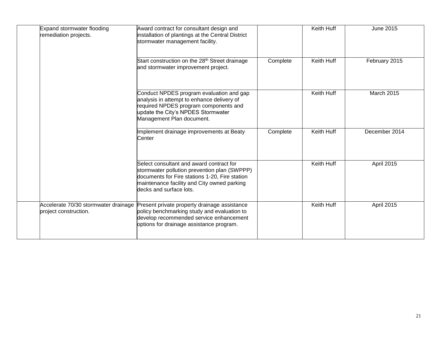| Expand stormwater flooding<br>remediation projects.           | Award contract for consultant design and<br>installation of plantings at the Central District<br>stormwater management facility.                                                                                     |          | Keith Huff        | June 2015         |
|---------------------------------------------------------------|----------------------------------------------------------------------------------------------------------------------------------------------------------------------------------------------------------------------|----------|-------------------|-------------------|
|                                                               | Start construction on the 28 <sup>th</sup> Street drainage<br>and stormwater improvement project.                                                                                                                    | Complete | Keith Huff        | February 2015     |
|                                                               | Conduct NPDES program evaluation and gap<br>analysis in attempt to enhance delivery of<br>required NPDES program components and<br>update the City's NPDES Stormwater<br>Management Plan document.                   |          | <b>Keith Huff</b> | <b>March 2015</b> |
|                                                               | Implement drainage improvements at Beaty<br>Center                                                                                                                                                                   | Complete | Keith Huff        | December 2014     |
|                                                               | Select consultant and award contract for<br>stormwater pollution prevention plan (SWPPP)<br>documents for Fire stations 1-20, Fire station<br>maintenance facility and City owned parking<br>decks and surface lots. |          | Keith Huff        | <b>April 2015</b> |
| Accelerate 70/30 stormwater drainage<br>project construction. | Present private property drainage assistance<br>policy benchmarking study and evaluation to<br>develop recommended service enhancement<br>options for drainage assistance program.                                   |          | Keith Huff        | <b>April 2015</b> |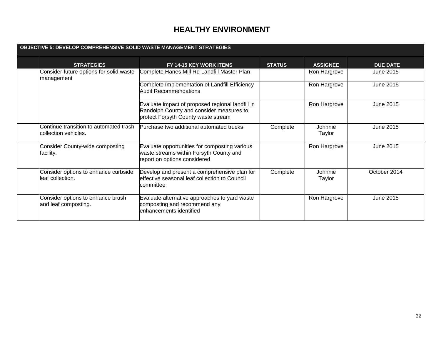| OBJECTIVE 5: DEVELOP COMPREHENSIVE SOLID WASTE MANAGEMENT STRATEGIES |                                                                                                                                     |               |                   |                 |  |
|----------------------------------------------------------------------|-------------------------------------------------------------------------------------------------------------------------------------|---------------|-------------------|-----------------|--|
| <b>STRATEGIES</b>                                                    | <b>FY 14-15 KEY WORK ITEMS</b>                                                                                                      | <b>STATUS</b> | <b>ASSIGNEE</b>   | <b>DUE DATE</b> |  |
| Consider future options for solid waste<br>management                | Complete Hanes Mill Rd Landfill Master Plan                                                                                         |               | Ron Hargrove      | June 2015       |  |
|                                                                      | Complete Implementation of Landfill Efficiency<br><b>Audit Recommendations</b>                                                      |               | Ron Hargrove      | June 2015       |  |
|                                                                      | Evaluate impact of proposed regional landfill in<br>Randolph County and consider measures to<br>protect Forsyth County waste stream |               | Ron Hargrove      | June 2015       |  |
| Continue transition to automated trash<br>lcollection vehicles.      | Purchase two additional automated trucks                                                                                            | Complete      | Johnnie<br>Taylor | June 2015       |  |
| Consider County-wide composting<br>facility.                         | Evaluate opportunities for composting various<br>waste streams within Forsyth County and<br>report on options considered            |               | Ron Hargrove      | June 2015       |  |
| Consider options to enhance curbside<br>leaf collection.             | Develop and present a comprehensive plan for<br>effective seasonal leaf collection to Council<br>lcommittee                         | Complete      | Johnnie<br>Taylor | October 2014    |  |
| Consider options to enhance brush<br>and leaf composting.            | Evaluate alternative approaches to yard waste<br>composting and recommend any<br>lenhancements identified                           |               | Ron Hargrove      | June 2015       |  |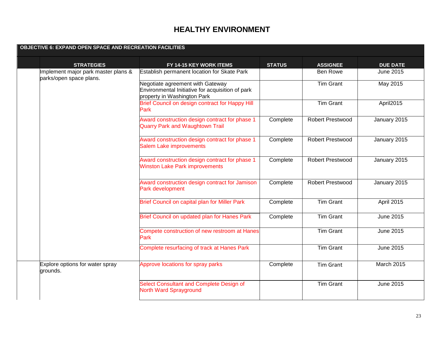| <b>OBJECTIVE 6: EXPAND OPEN SPACE AND RECREATION FACILITIES</b> |                                                                                                                     |               |                         |                   |
|-----------------------------------------------------------------|---------------------------------------------------------------------------------------------------------------------|---------------|-------------------------|-------------------|
| <b>STRATEGIES</b>                                               | FY 14-15 KEY WORK ITEMS                                                                                             | <b>STATUS</b> | <b>ASSIGNEE</b>         | <b>DUE DATE</b>   |
| Implement major park master plans &<br>parks/open space plans.  | Establish permanent location for Skate Park                                                                         |               | <b>Ben Rowe</b>         | June 2015         |
|                                                                 | Negotiate agreement with Gateway<br>Environmental Initiative for acquisition of park<br>property in Washington Park |               | <b>Tim Grant</b>        | May 2015          |
|                                                                 | Brief Council on design contract for Happy Hill<br>Park                                                             |               | <b>Tim Grant</b>        | April2015         |
|                                                                 | Award construction design contract for phase 1<br><b>Quarry Park and Waughtown Trail</b>                            | Complete      | <b>Robert Prestwood</b> | January 2015      |
|                                                                 | Award construction design contract for phase 1<br><b>Salem Lake improvements</b>                                    | Complete      | Robert Prestwood        | January 2015      |
|                                                                 | Award construction design contract for phase 1<br><b>Winston Lake Park improvements</b>                             | Complete      | <b>Robert Prestwood</b> | January 2015      |
|                                                                 | Award construction design contract for Jamison<br>Park development                                                  | Complete      | Robert Prestwood        | January 2015      |
|                                                                 | Brief Council on capital plan for Miller Park                                                                       | Complete      | <b>Tim Grant</b>        | April 2015        |
|                                                                 | Brief Council on updated plan for Hanes Park                                                                        | Complete      | <b>Tim Grant</b>        | June 2015         |
|                                                                 | Compete construction of new restroom at Hanes<br>Park                                                               |               | <b>Tim Grant</b>        | <b>June 2015</b>  |
|                                                                 | Complete resurfacing of track at Hanes Park                                                                         |               | <b>Tim Grant</b>        | June 2015         |
| Explore options for water spray<br>grounds.                     | Approve locations for spray parks                                                                                   | Complete      | <b>Tim Grant</b>        | <b>March 2015</b> |
|                                                                 | Select Consultant and Complete Design of<br><b>North Ward Sprayground</b>                                           |               | <b>Tim Grant</b>        | June 2015         |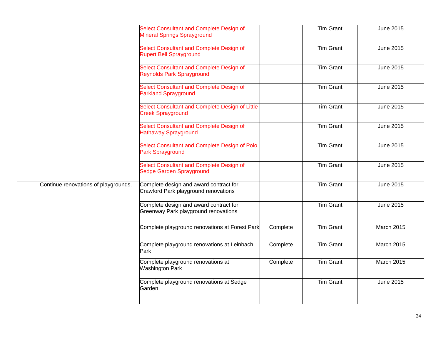|                                      | Select Consultant and Complete Design of<br><b>Mineral Springs Sprayground</b> |          | <b>Tim Grant</b> | June 2015         |
|--------------------------------------|--------------------------------------------------------------------------------|----------|------------------|-------------------|
|                                      | Select Consultant and Complete Design of<br><b>Rupert Bell Sprayground</b>     |          | <b>Tim Grant</b> | June 2015         |
|                                      | Select Consultant and Complete Design of<br><b>Reynolds Park Sprayground</b>   |          | <b>Tim Grant</b> | <b>June 2015</b>  |
|                                      | Select Consultant and Complete Design of<br><b>Parkland Sprayground</b>        |          | <b>Tim Grant</b> | <b>June 2015</b>  |
|                                      | Select Consultant and Complete Design of Little<br><b>Creek Sprayground</b>    |          | <b>Tim Grant</b> | June 2015         |
|                                      | Select Consultant and Complete Design of<br><b>Hathaway Sprayground</b>        |          | <b>Tim Grant</b> | <b>June 2015</b>  |
|                                      | Select Consultant and Complete Design of Polo<br>Park Sprayground              |          | <b>Tim Grant</b> | <b>June 2015</b>  |
|                                      | Select Consultant and Complete Design of<br>Sedge Garden Sprayground           |          | <b>Tim Grant</b> | June 2015         |
| Continue renovations of playgrounds. | Complete design and award contract for<br>Crawford Park playground renovations |          | <b>Tim Grant</b> | <b>June 2015</b>  |
|                                      | Complete design and award contract for<br>Greenway Park playground renovations |          | <b>Tim Grant</b> | June 2015         |
|                                      | Complete playground renovations at Forest Park                                 | Complete | <b>Tim Grant</b> | <b>March 2015</b> |
|                                      | Complete playground renovations at Leinbach<br>Park                            | Complete | <b>Tim Grant</b> | March 2015        |
|                                      | Complete playground renovations at<br>Washington Park                          | Complete | <b>Tim Grant</b> | March 2015        |
|                                      | Complete playground renovations at Sedge<br>Garden                             |          | <b>Tim Grant</b> | June 2015         |
|                                      |                                                                                |          |                  |                   |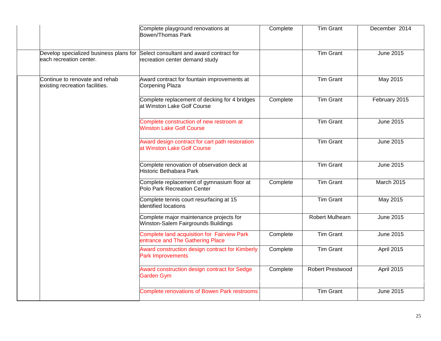|                                                                   | Complete playground renovations at<br><b>Bowen/Thomas Park</b>                                                    | Complete | <b>Tim Grant</b>       | December 2014     |
|-------------------------------------------------------------------|-------------------------------------------------------------------------------------------------------------------|----------|------------------------|-------------------|
| each recreation center.                                           | Develop specialized business plans for Select consultant and award contract for<br>recreation center demand study |          | <b>Tim Grant</b>       | <b>June 2015</b>  |
| Continue to renovate and rehab<br>existing recreation facilities. | Award contract for fountain improvements at<br>Corpening Plaza                                                    |          | <b>Tim Grant</b>       | May 2015          |
|                                                                   | Complete replacement of decking for 4 bridges<br>at Winston Lake Golf Course                                      | Complete | <b>Tim Grant</b>       | February 2015     |
|                                                                   | Complete construction of new restroom at<br><b>Winston Lake Golf Course</b>                                       |          | <b>Tim Grant</b>       | <b>June 2015</b>  |
|                                                                   | Award design contract for cart path restoration<br>at Winston Lake Golf Course                                    |          | <b>Tim Grant</b>       | June 2015         |
|                                                                   | Complete renovation of observation deck at<br>Historic Bethabara Park                                             |          | <b>Tim Grant</b>       | <b>June 2015</b>  |
|                                                                   | Complete replacement of gymnasium floor at<br>Polo Park Recreation Center                                         | Complete | <b>Tim Grant</b>       | <b>March 2015</b> |
|                                                                   | Complete tennis court resurfacing at 15<br>dentified locations                                                    |          | <b>Tim Grant</b>       | May 2015          |
|                                                                   | Complete major maintenance projects for<br>Winston-Salem Fairgrounds Buildings                                    |          | <b>Robert Mulhearn</b> | June 2015         |
|                                                                   | Complete land acquisition for Fairview Park<br>entrance and The Gathering Place                                   | Complete | <b>Tim Grant</b>       | June 2015         |
|                                                                   | Award construction design contract for Kimberly<br><b>Park Improvements</b>                                       | Complete | <b>Tim Grant</b>       | April 2015        |
|                                                                   | Award construction design contract for Sedge<br>Garden Gym                                                        | Complete | Robert Prestwood       | April 2015        |
|                                                                   | <b>Complete renovations of Bowen Park restrooms</b>                                                               |          | <b>Tim Grant</b>       | June 2015         |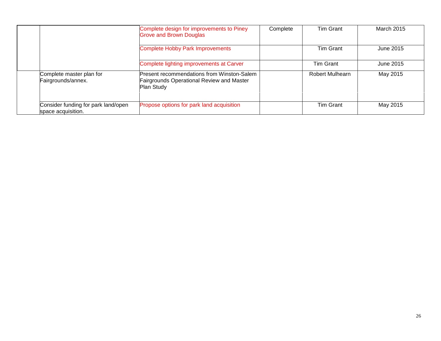|                                                           | Complete design for improvements to Piney<br><b>Grove and Brown Douglas</b>                                         | Complete | <b>Tim Grant</b>       | <b>March 2015</b> |
|-----------------------------------------------------------|---------------------------------------------------------------------------------------------------------------------|----------|------------------------|-------------------|
|                                                           | <b>Complete Hobby Park Improvements</b>                                                                             |          | <b>Tim Grant</b>       | June 2015         |
|                                                           | Complete lighting improvements at Carver                                                                            |          | Tim Grant              | June 2015         |
| Complete master plan for<br>Fairgrounds/annex.            | <b>Present recommendations from Winston-Salem</b><br><b>Fairgrounds Operational Review and Master</b><br>Plan Study |          | <b>Robert Mulhearn</b> | May 2015          |
| Consider funding for park land/open<br>space acquisition. | Propose options for park land acquisition                                                                           |          | <b>Tim Grant</b>       | May 2015          |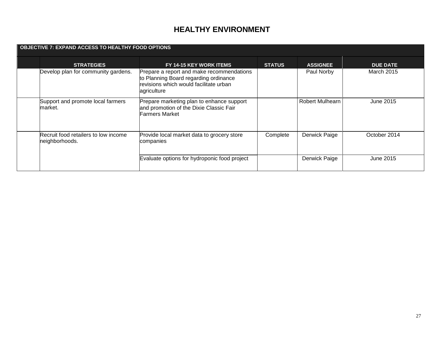| <b>OBJECTIVE 7: EXPAND ACCESS TO HEALTHY FOOD OPTIONS</b> |                                                        |                                                                                                                                             |               |                        |                   |
|-----------------------------------------------------------|--------------------------------------------------------|---------------------------------------------------------------------------------------------------------------------------------------------|---------------|------------------------|-------------------|
|                                                           | <b>STRATEGIES</b>                                      | FY 14-15 KEY WORK ITEMS                                                                                                                     | <b>STATUS</b> | <b>ASSIGNEE</b>        | <b>DUE DATE</b>   |
|                                                           | Develop plan for community gardens.                    | Prepare a report and make recommendations<br>to Planning Board regarding ordinance<br>revisions which would facilitate urban<br>agriculture |               | Paul Norby             | <b>March 2015</b> |
|                                                           | Support and promote local farmers<br>market.           | Prepare marketing plan to enhance support<br>and promotion of the Dixie Classic Fair<br><b>Farmers Market</b>                               |               | <b>Robert Mulhearn</b> | June 2015         |
|                                                           | Recruit food retailers to low income<br>neighborhoods. | Provide local market data to grocery store<br>companies                                                                                     | Complete      | Derwick Paige          | October 2014      |
|                                                           |                                                        | Evaluate options for hydroponic food project                                                                                                |               | Derwick Paige          | June 2015         |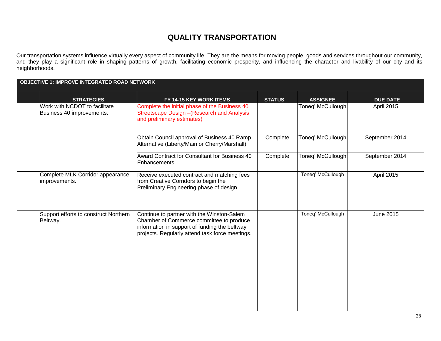#### **QUALITY TRANSPORTATION**

Our transportation systems influence virtually every aspect of community life. They are the means for moving people, goods and services throughout our community, and they play a significant role in shaping patterns of growth, facilitating economic prosperity, and influencing the character and livability of our city and its neighborhoods.

| <b>OBJECTIVE 1: IMPROVE INTEGRATED ROAD NETWORK</b>        |                                                                                                                                                                                            |               |                   |                 |  |
|------------------------------------------------------------|--------------------------------------------------------------------------------------------------------------------------------------------------------------------------------------------|---------------|-------------------|-----------------|--|
| <b>STRATEGIES</b>                                          | FY 14-15 KEY WORK ITEMS                                                                                                                                                                    | <b>STATUS</b> | <b>ASSIGNEE</b>   | <b>DUE DATE</b> |  |
| Work with NCDOT to facilitate<br>Business 40 improvements. | Complete the initial phase of the Business 40<br>Streetscape Design - (Research and Analysis<br>and preliminary estimates)                                                                 |               | Toneq' McCullough | April 2015      |  |
|                                                            | Obtain Council approval of Business 40 Ramp<br>Alternative (Liberty/Main or Cherry/Marshall)                                                                                               | Complete      | Toneq' McCullough | September 2014  |  |
|                                                            | Award Contract for Consultant for Business 40<br>Enhancements                                                                                                                              | Complete      | Toneq' McCullough | September 2014  |  |
| Complete MLK Corridor appearance<br>improvements.          | Receive executed contract and matching fees<br>from Creative Corridors to begin the<br>Preliminary Engineering phase of design                                                             |               | Toneq' McCullough | April 2015      |  |
| Support efforts to construct Northern<br>Beltway.          | Continue to partner with the Winston-Salem<br>Chamber of Commerce committee to produce<br>information in support of funding the beltway<br>projects. Regularly attend task force meetings. |               | Toneq' McCullough | June 2015       |  |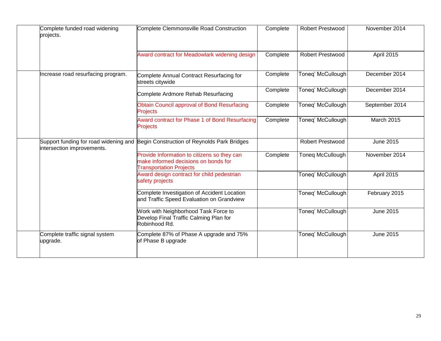| Complete funded road widening<br>projects. | Complete Clemmonsville Road Construction                                                                              | Complete | <b>Robert Prestwood</b> | November 2014     |
|--------------------------------------------|-----------------------------------------------------------------------------------------------------------------------|----------|-------------------------|-------------------|
|                                            | Award contract for Meadowlark widening design                                                                         | Complete | <b>Robert Prestwood</b> | April 2015        |
| Increase road resurfacing program.         | Complete Annual Contract Resurfacing for<br>streets citywide                                                          | Complete | Toneq' McCullough       | December 2014     |
|                                            | Complete Ardmore Rehab Resurfacing                                                                                    | Complete | Toneq' McCullough       | December 2014     |
|                                            | <b>Obtain Council approval of Bond Resurfacing</b><br><b>Projects</b>                                                 | Complete | Toneq' McCullough       | September 2014    |
|                                            | Award contract for Phase 1 of Bond Resurfacing<br><b>Projects</b>                                                     | Complete | Toneq' McCullough       | <b>March 2015</b> |
| intersection improvements.                 | Support funding for road widening and Begin Construction of Reynolds Park Bridges                                     |          | <b>Robert Prestwood</b> | June 2015         |
|                                            | Provide Information to citizens so they can<br>make informed decisions on bonds for<br><b>Transportation Projects</b> | Complete | Toneg McCullough        | November 2014     |
|                                            | Award design contract for child pedestrian<br>safety projects                                                         |          | Toneq' McCullough       | April 2015        |
|                                            | Complete Investigation of Accident Location<br>and Traffic Speed Evaluation on Grandview                              |          | Toneq' McCullough       | February 2015     |
|                                            | Work with Neighborhood Task Force to<br>Develop Final Traffic Calming Plan for<br>Robinhood Rd.                       |          | Toneq' McCullough       | June 2015         |
| Complete traffic signal system<br>upgrade. | Complete 87% of Phase A upgrade and 75%<br>of Phase B upgrade                                                         |          | Toneg' McCullough       | June 2015         |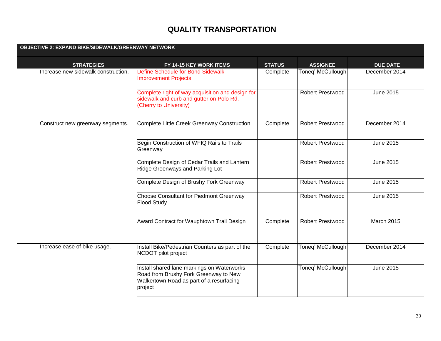# **QUALITY TRANSPORTATION**

| <b>OBJECTIVE 2: EXPAND BIKE/SIDEWALK/GREENWAY NETWORK</b> |                                                                                                                                            |               |                         |                   |
|-----------------------------------------------------------|--------------------------------------------------------------------------------------------------------------------------------------------|---------------|-------------------------|-------------------|
| <b>STRATEGIES</b>                                         | FY 14-15 KEY WORK ITEMS                                                                                                                    | <b>STATUS</b> | <b>ASSIGNEE</b>         | <b>DUE DATE</b>   |
| Increase new sidewalk construction.                       | <b>Define Schedule for Bond Sidewalk</b><br><b>Improvement Projects</b>                                                                    | Complete      | Toneq' McCullough       | December 2014     |
|                                                           | Complete right of way acquisition and design for<br>sidewalk and curb and gutter on Polo Rd.<br>Cherry to University)                      |               | <b>Robert Prestwood</b> | <b>June 2015</b>  |
| Construct new greenway segments.                          | Complete Little Creek Greenway Construction                                                                                                | Complete      | <b>Robert Prestwood</b> | December 2014     |
|                                                           | Begin Construction of WFIQ Rails to Trails<br>Greenway                                                                                     |               | Robert Prestwood        | June 2015         |
|                                                           | Complete Design of Cedar Trails and Lantern<br>Ridge Greenways and Parking Lot                                                             |               | <b>Robert Prestwood</b> | <b>June 2015</b>  |
|                                                           | Complete Design of Brushy Fork Greenway                                                                                                    |               | <b>Robert Prestwood</b> | June 2015         |
|                                                           | Choose Consultant for Piedmont Greenway<br><b>Flood Study</b>                                                                              |               | <b>Robert Prestwood</b> | <b>June 2015</b>  |
|                                                           | Award Contract for Waughtown Trail Design                                                                                                  | Complete      | <b>Robert Prestwood</b> | <b>March 2015</b> |
| Increase ease of bike usage.                              | Install Bike/Pedestrian Counters as part of the<br>NCDOT pilot project                                                                     | Complete      | Toneq' McCullough       | December 2014     |
|                                                           | Install shared lane markings on Waterworks<br>Road from Brushy Fork Greenway to New<br>Walkertown Road as part of a resurfacing<br>project |               | Toneq' McCullough       | June 2015         |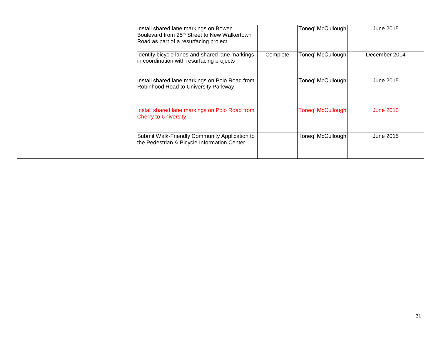| Install shared lane markings on Bowen<br>Boulevard from 25 <sup>th</sup> Street to New Walkertown<br>Road as part of a resurfacing project |          | Toneq' McCullough        | June 2015        |
|--------------------------------------------------------------------------------------------------------------------------------------------|----------|--------------------------|------------------|
| Identify bicycle lanes and shared lane markings<br>in coordination with resurfacing projects                                               | Complete | Toneq' McCullough        | December 2014    |
| Install shared lane markings on Polo Road from<br>Robinhood Road to University Parkway                                                     |          | Toneq' McCullough        | June 2015        |
| Install shared lane markings on Polo Road from<br><b>Cherry to University</b>                                                              |          | <b>Toneq' McCullough</b> | <b>June 2015</b> |
| Submit Walk-Friendly Community Application to<br>the Pedestrian & Bicycle Information Center                                               |          | Toneq' McCullough        | June 2015        |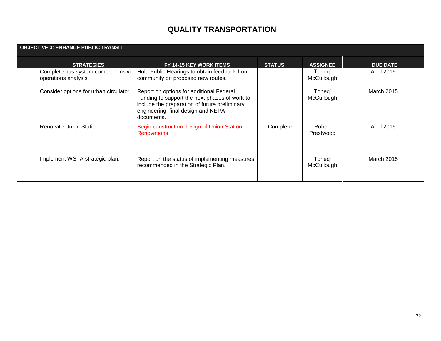# **QUALITY TRANSPORTATION**

| <b>OBJECTIVE 3: ENHANCE PUBLIC TRANSIT</b> |                                                           |                                                                                                                                                                                                |               |                      |                   |
|--------------------------------------------|-----------------------------------------------------------|------------------------------------------------------------------------------------------------------------------------------------------------------------------------------------------------|---------------|----------------------|-------------------|
|                                            | <b>STRATEGIES</b>                                         | FY 14-15 KEY WORK ITEMS                                                                                                                                                                        | <b>STATUS</b> | <b>ASSIGNEE</b>      | <b>DUE DATE</b>   |
|                                            | Complete bus system comprehensive<br>operations analysis. | Hold Public Hearings to obtain feedback from<br>community on proposed new routes.                                                                                                              |               | Toneg'<br>McCullough | April 2015        |
|                                            | Consider options for urban circulator.                    | Report on options for additional Federal<br>Funding to support the next phases of work to<br>include the preparation of future preliminary<br>engineering, final design and NEPA<br>documents. |               | Toneq'<br>McCullough | <b>March 2015</b> |
|                                            | Renovate Union Station.                                   | Begin construction design of Union Station<br><b>Renovations</b>                                                                                                                               | Complete      | Robert<br>Prestwood  | <b>April 2015</b> |
|                                            | Implement WSTA strategic plan.                            | Report on the status of implementing measures<br>recommended in the Strategic Plan.                                                                                                            |               | Toneq'<br>McCullough | <b>March 2015</b> |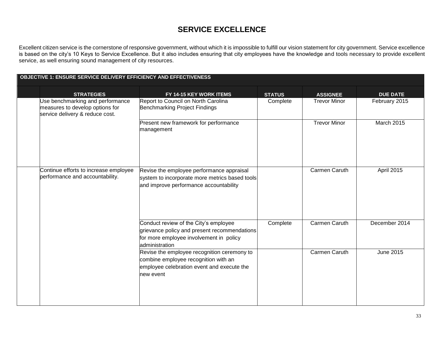Excellent citizen service is the cornerstone of responsive government, without which it is impossible to fulfill our vision statement for city government. Service excellence is based on the city's 10 Keys to Service Excellence. But it also includes ensuring that city employees have the knowledge and tools necessary to provide excellent service, as well ensuring sound management of city resources.

| <b>OBJECTIVE 1: ENSURE SERVICE DELIVERY EFFICIENCY AND EFFECTIVENESS</b> |                                                                                                        |                                                                                                                                                    |               |                     |                   |
|--------------------------------------------------------------------------|--------------------------------------------------------------------------------------------------------|----------------------------------------------------------------------------------------------------------------------------------------------------|---------------|---------------------|-------------------|
|                                                                          | <b>STRATEGIES</b>                                                                                      | FY 14-15 KEY WORK ITEMS                                                                                                                            | <b>STATUS</b> | <b>ASSIGNEE</b>     | <b>DUE DATE</b>   |
|                                                                          | Jse benchmarking and performance<br>measures to develop options for<br>service delivery & reduce cost. | Report to Council on North Carolina<br>Benchmarking Project Findings                                                                               | Complete      | <b>Trevor Minor</b> | February 2015     |
|                                                                          |                                                                                                        | Present new framework for performance<br>management                                                                                                |               | <b>Trevor Minor</b> | <b>March 2015</b> |
|                                                                          | Continue efforts to increase employee<br>performance and accountability.                               | Revise the employee performance appraisal<br>system to incorporate more metrics based tools<br>and improve performance accountability              |               | Carmen Caruth       | April 2015        |
|                                                                          |                                                                                                        | Conduct review of the City's employee<br>grievance policy and present recommendations<br>for more employee involvement in policy<br>administration | Complete      | Carmen Caruth       | December 2014     |
|                                                                          |                                                                                                        | Revise the employee recognition ceremony to<br>combine employee recognition with an<br>employee celebration event and execute the<br>new event     |               | Carmen Caruth       | June 2015         |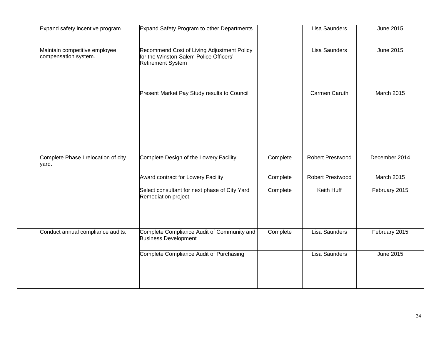| Expand safety incentive program.                      | Expand Safety Program to other Departments                                                                       |          | <b>Lisa Saunders</b>    | June 2015        |
|-------------------------------------------------------|------------------------------------------------------------------------------------------------------------------|----------|-------------------------|------------------|
| Maintain competitive employee<br>compensation system. | Recommend Cost of Living Adjustment Policy<br>for the Winston-Salem Police Officers'<br><b>Retirement System</b> |          | Lisa Saunders           | <b>June 2015</b> |
|                                                       | Present Market Pay Study results to Council                                                                      |          | <b>Carmen Caruth</b>    | March 2015       |
| Complete Phase I relocation of city<br>yard.          | Complete Design of the Lowery Facility                                                                           | Complete | <b>Robert Prestwood</b> | December 2014    |
|                                                       | Award contract for Lowery Facility                                                                               | Complete | Robert Prestwood        | March 2015       |
|                                                       | Select consultant for next phase of City Yard<br>Remediation project.                                            | Complete | Keith Huff              | February 2015    |
| Conduct annual compliance audits.                     | Complete Compliance Audit of Community and<br><b>Business Development</b>                                        | Complete | Lisa Saunders           | February 2015    |
|                                                       | Complete Compliance Audit of Purchasing                                                                          |          | Lisa Saunders           | June 2015        |
|                                                       |                                                                                                                  |          |                         |                  |
|                                                       |                                                                                                                  |          |                         |                  |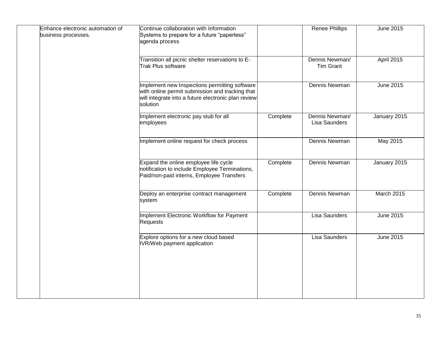| Enhance electronic automation of<br>business processes. | Continue collaboration with Information<br>Systems to prepare for a future "paperless"<br>agenda process                                                            |          | <b>Renee Phillips</b>              | June 2015    |
|---------------------------------------------------------|---------------------------------------------------------------------------------------------------------------------------------------------------------------------|----------|------------------------------------|--------------|
|                                                         | Transition all picnic shelter reservations to E-<br>Trak Plus software                                                                                              |          | Dennis Newman/<br><b>Tim Grant</b> | April 2015   |
|                                                         | Implement new Inspections permitting software<br>with online permit submission and tracking that<br>will integrate into a future electronic plan review<br>solution |          | Dennis Newman                      | June 2015    |
|                                                         | Implement electronic pay stub for all<br>employees                                                                                                                  | Complete | Dennis Newman/<br>Lisa Saunders    | January 2015 |
|                                                         | Implement online request for check process                                                                                                                          |          | Dennis Newman                      | May 2015     |
|                                                         | Expand the online employee life cycle<br>notification to include Employee Terminations,<br>Paid/non-paid interns, Employee Transfers                                | Complete | Dennis Newman                      | January 2015 |
|                                                         | Deploy an enterprise contract management<br>system                                                                                                                  | Complete | Dennis Newman                      | March 2015   |
|                                                         | Implement Electronic Workflow for Payment<br><b>Requests</b>                                                                                                        |          | Lisa Saunders                      | June 2015    |
|                                                         | Explore options for a new cloud based<br>IVR/Web payment application                                                                                                |          | Lisa Saunders                      | June 2015    |
|                                                         |                                                                                                                                                                     |          |                                    |              |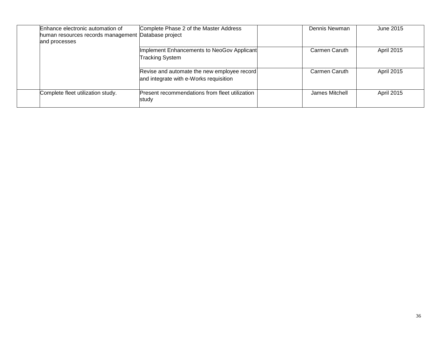| Enhance electronic automation of  | Complete Phase 2 of the Master Address<br>human resources records management Database project | Dennis Newman  | June 2015         |
|-----------------------------------|-----------------------------------------------------------------------------------------------|----------------|-------------------|
| and processes                     |                                                                                               |                |                   |
|                                   | Implement Enhancements to NeoGov Applicant<br><b>Tracking System</b>                          | Carmen Caruth  | <b>April 2015</b> |
|                                   | Revise and automate the new employee record<br>and integrate with e-Works requisition         | Carmen Caruth  | <b>April 2015</b> |
| Complete fleet utilization study. | Present recommendations from fleet utilization<br>study                                       | James Mitchell | <b>April 2015</b> |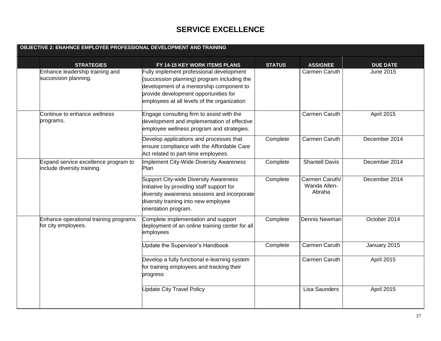| OBJECTIVE 2: ENAHNCE EMPLOYEE PROFESSIONAL DEVELOPMENT AND TRAINING |                                                                     |                                                                                                                                                                                                                             |               |                                          |                   |
|---------------------------------------------------------------------|---------------------------------------------------------------------|-----------------------------------------------------------------------------------------------------------------------------------------------------------------------------------------------------------------------------|---------------|------------------------------------------|-------------------|
|                                                                     | <b>STRATEGIES</b>                                                   | FY 14-15 KEY WORK ITEMS PLANS                                                                                                                                                                                               | <b>STATUS</b> | <b>ASSIGNEE</b>                          | <b>DUE DATE</b>   |
|                                                                     | Enhance leadership training and<br>succession planning.             | Fully implement professional development<br>(succession planning) program including the<br>development of a mentorship component to<br>provide development opportunities for<br>employees at all levels of the organization |               | Carmen Caruth                            | <b>June 2015</b>  |
|                                                                     | Continue to enhance wellness<br>programs.                           | Engage consulting firm to assist with the<br>development and implementation of effective<br>employee wellness program and strategies.                                                                                       |               | Carmen Caruth                            | April 2015        |
|                                                                     |                                                                     | Develop applications and processes that<br>ensure compliance with the Affordable Care<br>Act related to part-time employees.                                                                                                | Complete      | Carmen Caruth                            | December 2014     |
|                                                                     | Expand service excellence program to<br>include diversity training. | Implement City-Wide Diversity Awareness<br>Plan                                                                                                                                                                             | Complete      | <b>Shantell Davis</b>                    | December 2014     |
|                                                                     |                                                                     | Support City-wide Diversity Awareness<br>Initiative by providing staff support for<br>diversity awareness sessions and incorporate<br>diversity training into new employee<br>orientation program.                          | Complete      | Carmen Caruth/<br>Wanda Allen-<br>Abraha | December 2014     |
|                                                                     | Enhance operational training programs<br>for city employees.        | Complete implementation and support<br>deployment of an online training center for all<br>employees                                                                                                                         | Complete      | Dennis Newman                            | October 2014      |
|                                                                     |                                                                     | Update the Supervisor's Handbook                                                                                                                                                                                            | Complete      | Carmen Caruth                            | January 2015      |
|                                                                     |                                                                     | Develop a fully functional e-learning system<br>for training employees and tracking their<br>progress                                                                                                                       |               | Carmen Caruth                            | <b>April 2015</b> |
|                                                                     |                                                                     | <b>Update City Travel Policy</b>                                                                                                                                                                                            |               | <b>Lisa Saunders</b>                     | <b>April 2015</b> |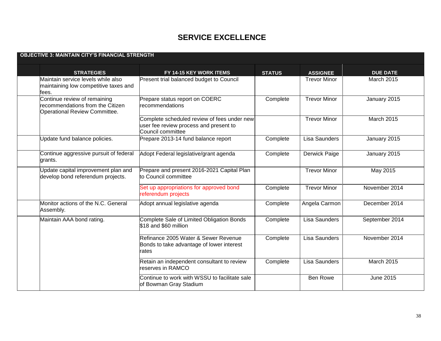| <b>OBJECTIVE 3: MAINTAIN CITY'S FINANCIAL STRENGTH</b>                                                   |                                                                                                            |               |                      |                   |  |  |  |
|----------------------------------------------------------------------------------------------------------|------------------------------------------------------------------------------------------------------------|---------------|----------------------|-------------------|--|--|--|
| <b>STRATEGIES</b>                                                                                        | FY 14-15 KEY WORK ITEMS                                                                                    | <b>STATUS</b> | <b>ASSIGNEE</b>      | <b>DUE DATE</b>   |  |  |  |
| Maintain service levels while also<br>maintaining low competitive taxes and<br>fees.                     | Present trial balanced budget to Council                                                                   |               | <b>Trevor Minor</b>  | <b>March 2015</b> |  |  |  |
| Continue review of remaining<br>recommendations from the Citizen<br><b>Operational Review Committee.</b> | Prepare status report on COERC<br>recommendations                                                          | Complete      | <b>Trevor Minor</b>  | January 2015      |  |  |  |
|                                                                                                          | Complete scheduled review of fees under new<br>user fee review process and present to<br>Council committee |               | <b>Trevor Minor</b>  | March 2015        |  |  |  |
| Update fund balance policies.                                                                            | Prepare 2013-14 fund balance report                                                                        | Complete      | Lisa Saunders        | January 2015      |  |  |  |
| Continue aggressive pursuit of federal<br>grants.                                                        | Adopt Federal legislative/grant agenda                                                                     | Complete      | Derwick Paige        | January 2015      |  |  |  |
| Update capital improvement plan and<br>develop bond referendum projects.                                 | Prepare and present 2016-2021 Capital Plan<br>to Council committee                                         |               | <b>Trevor Minor</b>  | May 2015          |  |  |  |
|                                                                                                          | Set up appropriations for approved bond<br>referendum projects                                             | Complete      | <b>Trevor Minor</b>  | November 2014     |  |  |  |
| Monitor actions of the N.C. General<br>Assembly.                                                         | Adopt annual legislative agenda                                                                            | Complete      | Angela Carmon        | December 2014     |  |  |  |
| Maintain AAA bond rating.                                                                                | Complete Sale of Limited Obligation Bonds<br>\$18 and \$60 million                                         | Complete      | Lisa Saunders        | September 2014    |  |  |  |
|                                                                                                          | Refinance 2005 Water & Sewer Revenue<br>Bonds to take advantage of lower interest<br>rates                 | Complete      | <b>Lisa Saunders</b> | November 2014     |  |  |  |
|                                                                                                          | Retain an independent consultant to review<br>reserves in RAMCO                                            | Complete      | Lisa Saunders        | <b>March 2015</b> |  |  |  |
|                                                                                                          | Continue to work with WSSU to facilitate sale<br>of Bowman Gray Stadium                                    |               | Ben Rowe             | June 2015         |  |  |  |